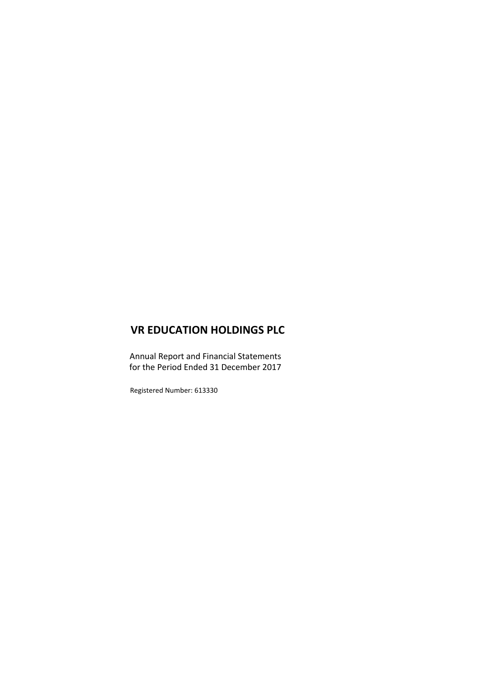Annual Report and Financial Statements for the Period Ended 31 December 2017

Registered Number: 613330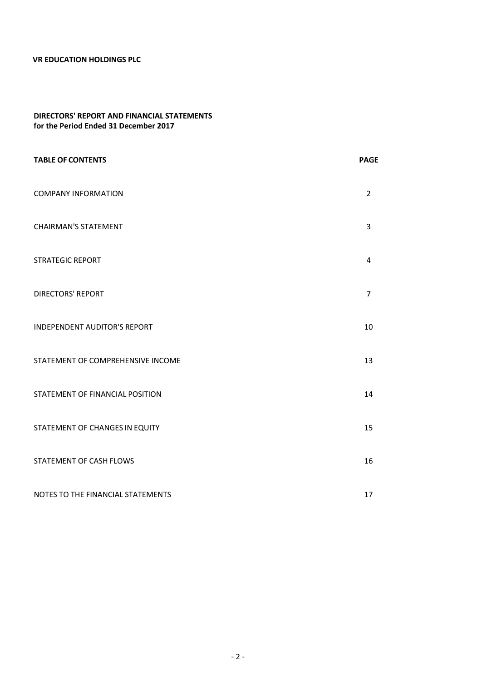## **DIRECTORS' REPORT AND FINANCIAL STATEMENTS for the Period Ended 31 December 2017**

| <b>TABLE OF CONTENTS</b>            | <b>PAGE</b>    |
|-------------------------------------|----------------|
| <b>COMPANY INFORMATION</b>          | $\overline{2}$ |
| <b>CHAIRMAN'S STATEMENT</b>         | 3              |
| <b>STRATEGIC REPORT</b>             | 4              |
| <b>DIRECTORS' REPORT</b>            | $\overline{7}$ |
| <b>INDEPENDENT AUDITOR'S REPORT</b> | 10             |
| STATEMENT OF COMPREHENSIVE INCOME   | 13             |
| STATEMENT OF FINANCIAL POSITION     | 14             |
| STATEMENT OF CHANGES IN EQUITY      | 15             |
| STATEMENT OF CASH FLOWS             | 16             |
| NOTES TO THE FINANCIAL STATEMENTS   | 17             |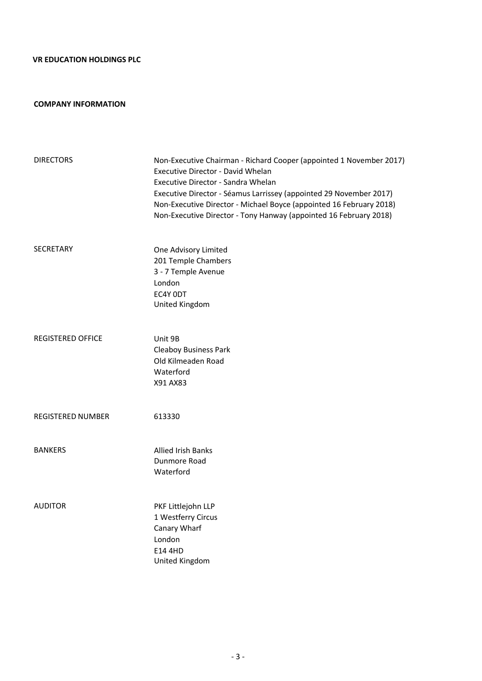# <span id="page-2-0"></span>**COMPANY INFORMATION**

| <b>DIRECTORS</b>         | Non-Executive Chairman - Richard Cooper (appointed 1 November 2017)<br>Executive Director - David Whelan<br>Executive Director - Sandra Whelan<br>Executive Director - Séamus Larrissey (appointed 29 November 2017)<br>Non-Executive Director - Michael Boyce (appointed 16 February 2018)<br>Non-Executive Director - Tony Hanway (appointed 16 February 2018) |
|--------------------------|------------------------------------------------------------------------------------------------------------------------------------------------------------------------------------------------------------------------------------------------------------------------------------------------------------------------------------------------------------------|
| <b>SECRETARY</b>         | One Advisory Limited<br>201 Temple Chambers<br>3 - 7 Temple Avenue<br>London<br>EC4Y ODT<br>United Kingdom                                                                                                                                                                                                                                                       |
| <b>REGISTERED OFFICE</b> | Unit 9B<br><b>Cleaboy Business Park</b><br>Old Kilmeaden Road<br>Waterford<br>X91 AX83                                                                                                                                                                                                                                                                           |
| <b>REGISTERED NUMBER</b> | 613330                                                                                                                                                                                                                                                                                                                                                           |
| <b>BANKERS</b>           | <b>Allied Irish Banks</b><br>Dunmore Road<br>Waterford                                                                                                                                                                                                                                                                                                           |
| <b>AUDITOR</b>           | PKF Littlejohn LLP<br>1 Westferry Circus<br>Canary Wharf<br>London<br>E14 4HD<br>United Kingdom                                                                                                                                                                                                                                                                  |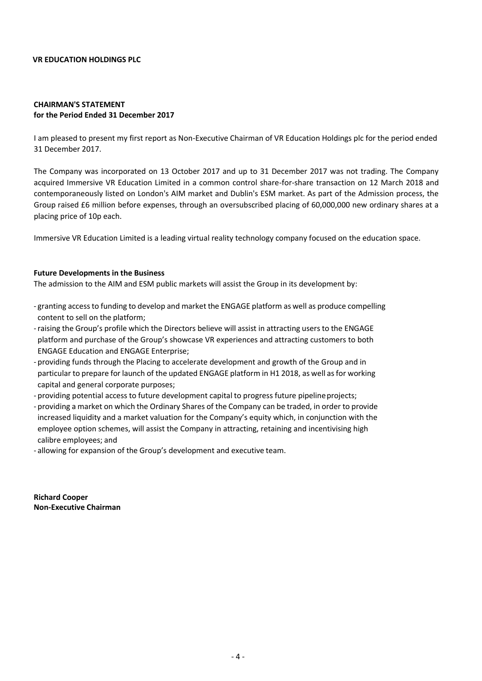### <span id="page-3-0"></span>**CHAIRMAN'S STATEMENT for the Period Ended 31 December 2017**

I am pleased to present my first report as Non-Executive Chairman of VR Education Holdings plc for the period ended 31 December 2017.

The Company was incorporated on 13 October 2017 and up to 31 December 2017 was not trading. The Company acquired Immersive VR Education Limited in a common control share-for-share transaction on 12 March 2018 and contemporaneously listed on London's AIM market and Dublin's ESM market. As part of the Admission process, the Group raised £6 million before expenses, through an oversubscribed placing of 60,000,000 new ordinary shares at a placing price of 10p each.

Immersive VR Education Limited is a leading virtual reality technology company focused on the education space.

### **Future Developments in the Business**

The admission to the AIM and ESM public markets will assist the Group in its development by:

- granting accessto funding to develop and market the ENGAGE platform as well as produce compelling content to sell on the platform;
- -raising the Group's profile which the Directors believe will assist in attracting users to the ENGAGE platform and purchase of the Group's showcase VR experiences and attracting customers to both ENGAGE Education and ENGAGE Enterprise;
- providing funds through the Placing to accelerate development and growth of the Group and in particular to prepare for launch of the updated ENGAGE platform in H1 2018, as well asfor working capital and general corporate purposes;
- providing potential access to future development capital to progress future pipeline projects;
- providing a market on which the Ordinary Shares of the Company can be traded, in order to provide increased liquidity and a market valuation for the Company's equity which, in conjunction with the employee option schemes, will assist the Company in attracting, retaining and incentivising high calibre employees; and
- allowing for expansion of the Group's development and executive team.

**Richard Cooper Non-Executive Chairman**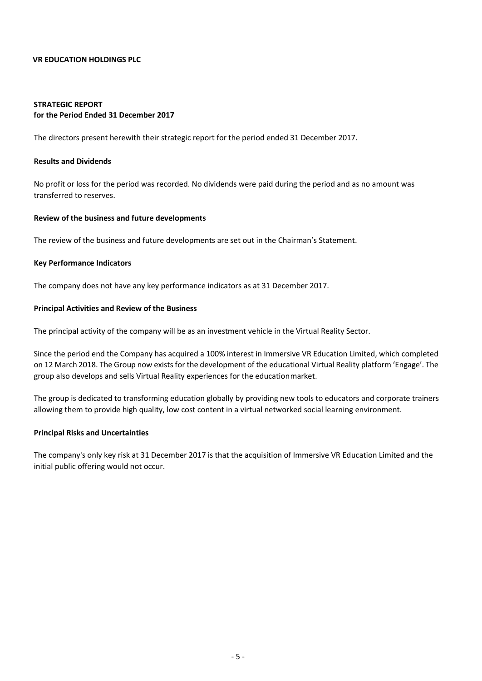### <span id="page-4-0"></span>**STRATEGIC REPORT for the Period Ended 31 December 2017**

The directors present herewith their strategic report for the period ended 31 December 2017.

#### **Results and Dividends**

No profit or loss for the period was recorded. No dividends were paid during the period and as no amount was transferred to reserves.

#### **Review of the business and future developments**

The review of the business and future developments are set out in the Chairman's Statement.

#### **Key Performance Indicators**

The company does not have any key performance indicators as at 31 December 2017.

#### **Principal Activities and Review of the Business**

The principal activity of the company will be as an investment vehicle in the Virtual Reality Sector.

Since the period end the Company has acquired a 100% interest in Immersive VR Education Limited, which completed on 12 March 2018. The Group now exists for the development of the educational Virtual Reality platform 'Engage'. The group also develops and sells Virtual Reality experiences for the educationmarket.

The group is dedicated to transforming education globally by providing new tools to educators and corporate trainers allowing them to provide high quality, low cost content in a virtual networked social learning environment.

#### **Principal Risks and Uncertainties**

The company's only key risk at 31 December 2017 is that the acquisition of Immersive VR Education Limited and the initial public offering would not occur.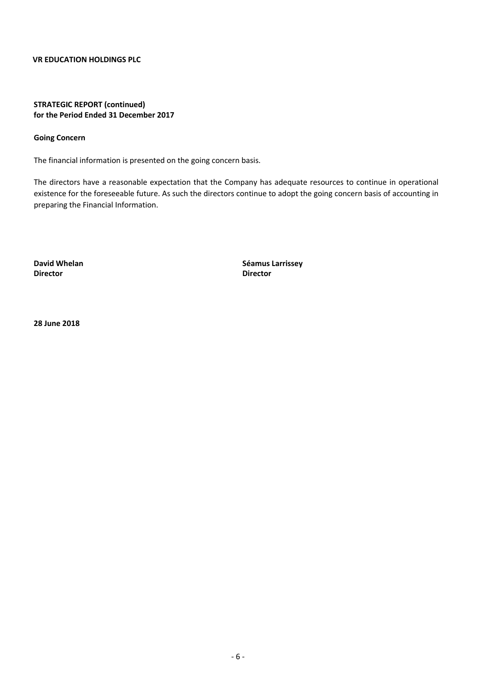### **STRATEGIC REPORT (continued) for the Period Ended 31 December 2017**

# **Going Concern**

The financial information is presented on the going concern basis.

The directors have a reasonable expectation that the Company has adequate resources to continue in operational existence for the foreseeable future. As such the directors continue to adopt the going concern basis of accounting in preparing the Financial Information.

**David Whelan Director** 

**Séamus Larrissey Director**

**28 June 2018**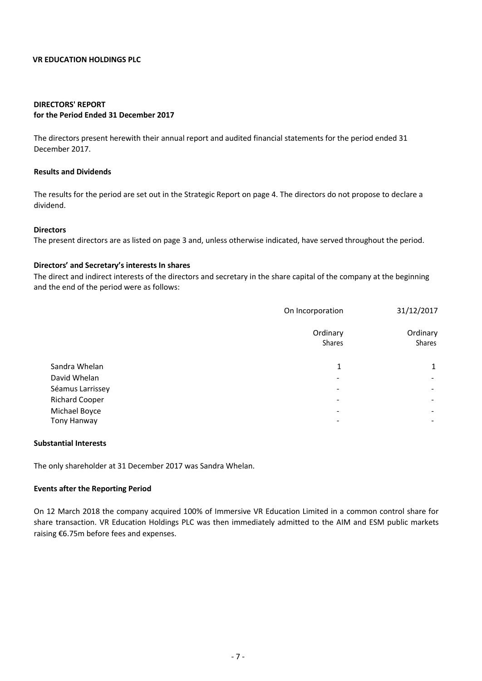### <span id="page-6-0"></span>**DIRECTORS' REPORT for the Period Ended 31 December 2017**

The directors present herewith their annual report and audited financial statements for the period ended 31 December 2017.

### **Results and Dividends**

The results for the period are set out in the Strategic Report on page 4. The directors do not propose to declare a dividend.

### **Directors**

The present directors are as listed on page 3 and, unless otherwise indicated, have served throughout the period.

#### **Directors' and Secretary's interests In shares**

The direct and indirect interests of the directors and secretary in the share capital of the company at the beginning and the end of the period were as follows:

|                       | On Incorporation         | 31/12/2017               |
|-----------------------|--------------------------|--------------------------|
|                       | Ordinary<br>Shares       | Ordinary<br>Shares       |
| Sandra Whelan         | 1                        | 1                        |
| David Whelan          | $\overline{\phantom{a}}$ | $\overline{\phantom{a}}$ |
| Séamus Larrissey      | $\overline{\phantom{a}}$ | $\overline{\phantom{a}}$ |
| <b>Richard Cooper</b> | $\overline{\phantom{a}}$ | $\overline{\phantom{a}}$ |
| Michael Boyce         | $\overline{\phantom{a}}$ | -                        |
| Tony Hanway           | $\overline{\phantom{a}}$ | $\overline{\phantom{a}}$ |
|                       |                          |                          |

### **Substantial Interests**

The only shareholder at 31 December 2017 was Sandra Whelan.

#### **Events after the Reporting Period**

On 12 March 2018 the company acquired 100% of Immersive VR Education Limited in a common control share for share transaction. VR Education Holdings PLC was then immediately admitted to the AIM and ESM public markets raising €6.75m before fees and expenses.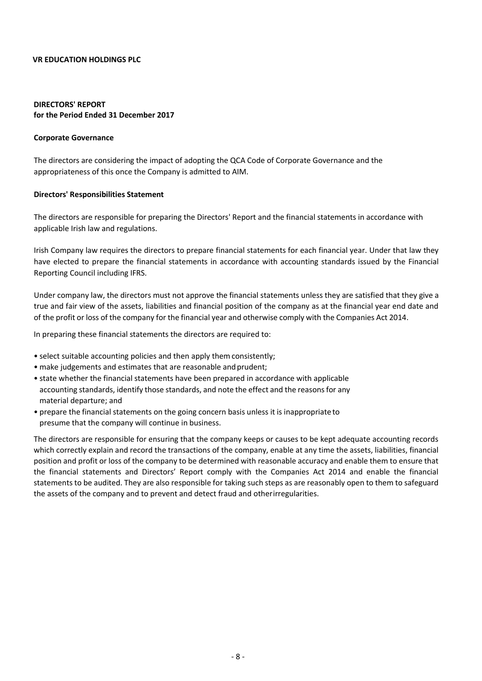#### **DIRECTORS' REPORT for the Period Ended 31 December 2017**

#### **Corporate Governance**

The directors are considering the impact of adopting the QCA Code of Corporate Governance and the appropriateness of this once the Company is admitted to AIM.

#### **Directors' Responsibilities Statement**

The directors are responsible for preparing the Directors' Report and the financial statements in accordance with applicable Irish law and regulations.

Irish Company law requires the directors to prepare financial statements for each financial year. Under that law they have elected to prepare the financial statements in accordance with accounting standards issued by the Financial Reporting Council including IFRS.

Under company law, the directors must not approve the financial statements unless they are satisfied that they give a true and fair view of the assets, liabilities and financial position of the company as at the financial year end date and of the profit or loss of the company for the financial year and otherwise comply with the Companies Act 2014.

In preparing these financial statements the directors are required to:

- select suitable accounting policies and then apply them consistently;
- make judgements and estimates that are reasonable and prudent;
- state whether the financial statements have been prepared in accordance with applicable accounting standards, identify those standards, and note the effect and the reasonsfor any material departure; and
- prepare the financial statements on the going concern basis unless it is inappropriate to presume that the company will continue in business.

The directors are responsible for ensuring that the company keeps or causes to be kept adequate accounting records which correctly explain and record the transactions of the company, enable at any time the assets, liabilities, financial position and profit or loss of the company to be determined with reasonable accuracy and enable them to ensure that the financial statements and Directors' Report comply with the Companies Act 2014 and enable the financial statements to be audited. They are also responsible for taking such steps as are reasonably open to them to safeguard the assets of the company and to prevent and detect fraud and otherirregularities.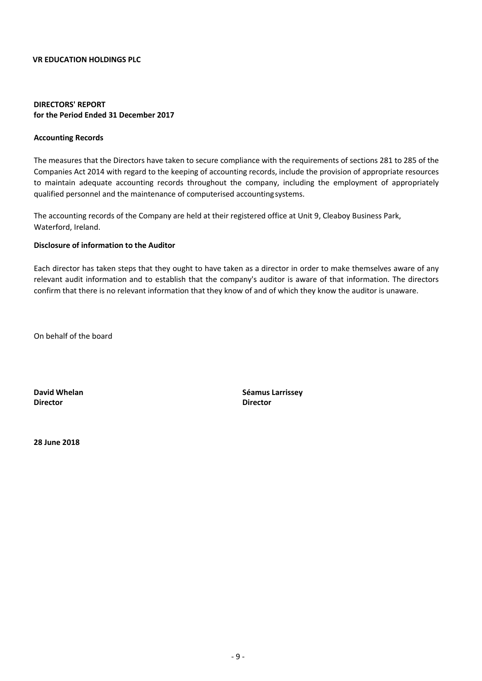### **DIRECTORS' REPORT for the Period Ended 31 December 2017**

#### **Accounting Records**

The measures that the Directors have taken to secure compliance with the requirements of sections 281 to 285 of the Companies Act 2014 with regard to the keeping of accounting records, include the provision of appropriate resources to maintain adequate accounting records throughout the company, including the employment of appropriately qualified personnel and the maintenance of computerised accountingsystems.

The accounting records of the Company are held at their registered office at Unit 9, Cleaboy Business Park, Waterford, Ireland.

#### **Disclosure of information to the Auditor**

Each director has taken steps that they ought to have taken as a director in order to make themselves aware of any relevant audit information and to establish that the company's auditor is aware of that information. The directors confirm that there is no relevant information that they know of and of which they know the auditor is unaware.

On behalf of the board

**David Whelan Director** 

**Séamus Larrissey Director**

**28 June 2018**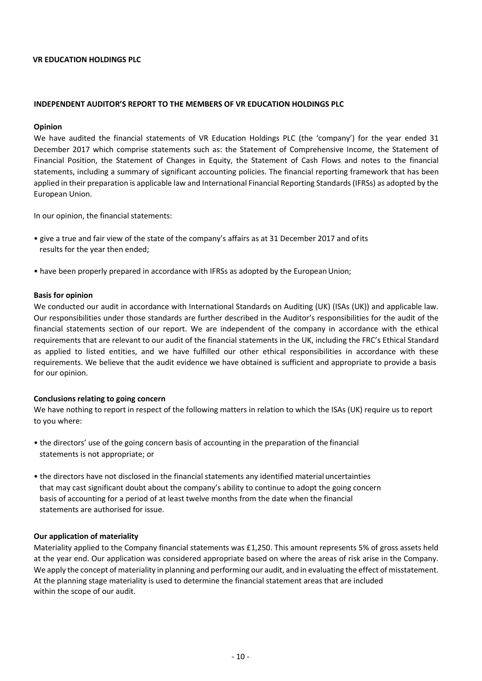#### **INDEPENDENT AUDITOR'S REPORT TO THE MEMBERS OF VR EDUCATION HOLDINGS PLC**

#### **Opinion**

We have audited the financial statements of VR Education Holdings PLC (the 'company') for the year ended 31 December 2017 which comprise statements such as: the Statement of Comprehensive Income, the Statement of Financial Position, the Statement of Changes in Equity, the Statement of Cash Flows and notes to the financial statements, including a summary of significant accounting policies. The financial reporting framework that has been applied in their preparation is applicable law and International Financial Reporting Standards (IFRSs) as adopted by the European Union.

In our opinion, the financial statements:

- give a true and fair view of the state of the company's affairs as at 31 December 2017 and ofits results for the year then ended;
- have been properly prepared in accordance with IFRSs as adopted by the European Union;

#### **Basis for opinion**

We conducted our audit in accordance with International Standards on Auditing (UK) (ISAs (UK)) and applicable law. Our responsibilities under those standards are further described in the Auditor's responsibilities for the audit of the financial statements section of our report. We are independent of the company in accordance with the ethical requirements that are relevant to our audit of the financial statements in the UK, including the FRC's Ethical Standard as applied to listed entities, and we have fulfilled our other ethical responsibilities in accordance with these requirements. We believe that the audit evidence we have obtained is sufficient and appropriate to provide a basis for our opinion.

#### **Conclusions relating to going concern**

We have nothing to report in respect of the following matters in relation to which the ISAs (UK) require us to report to you where:

- the directors' use of the going concern basis of accounting in the preparation of the financial statements is not appropriate; or
- the directors have not disclosed in the financial statements any identified material uncertainties that may cast significant doubt about the company's ability to continue to adopt the going concern basis of accounting for a period of at least twelve months from the date when the financial statements are authorised for issue.

#### **Our application of materiality**

Materiality applied to the Company financial statements was £1,250. This amount represents 5% of gross assets held at the year end. Our application was considered appropriate based on where the areas of risk arise in the Company. We apply the concept of materiality in planning and performing our audit, and in evaluating the effect of misstatement. At the planning stage materiality is used to determine the financial statement areas that are included within the scope of our audit.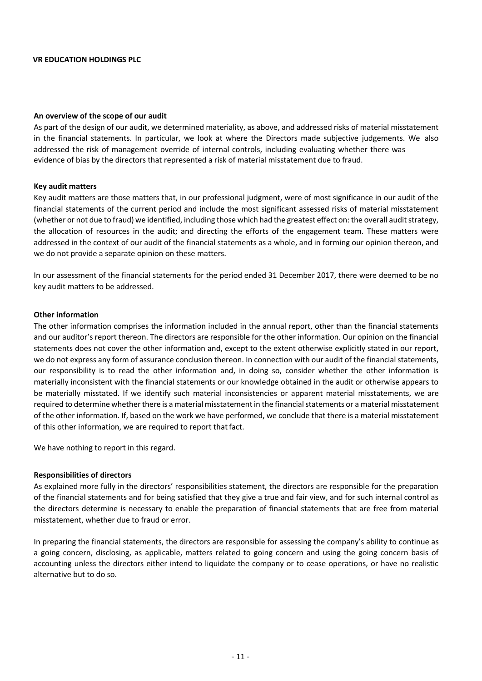#### **An overview of the scope of our audit**

As part of the design of our audit, we determined materiality, as above, and addressed risks of material misstatement in the financial statements. In particular, we look at where the Directors made subjective judgements. We also addressed the risk of management override of internal controls, including evaluating whether there was evidence of bias by the directors that represented a risk of material misstatement due to fraud.

#### **Key audit matters**

Key audit matters are those matters that, in our professional judgment, were of most significance in our audit of the financial statements of the current period and include the most significant assessed risks of material misstatement (whether or not due to fraud) we identified, including those which had the greatest effect on: the overall audit strategy, the allocation of resources in the audit; and directing the efforts of the engagement team. These matters were addressed in the context of our audit of the financial statements as a whole, and in forming our opinion thereon, and we do not provide a separate opinion on these matters.

In our assessment of the financial statements for the period ended 31 December 2017, there were deemed to be no key audit matters to be addressed.

#### **Other information**

The other information comprises the information included in the annual report, other than the financial statements and our auditor's report thereon. The directors are responsible for the other information. Our opinion on the financial statements does not cover the other information and, except to the extent otherwise explicitly stated in our report, we do not express any form of assurance conclusion thereon. In connection with our audit of the financial statements, our responsibility is to read the other information and, in doing so, consider whether the other information is materially inconsistent with the financial statements or our knowledge obtained in the audit or otherwise appears to be materially misstated. If we identify such material inconsistencies or apparent material misstatements, we are required to determine whether there is a material misstatement in the financial statements or a material misstatement of the other information. If, based on the work we have performed, we conclude that there is a material misstatement of this other information, we are required to report that fact.

We have nothing to report in this regard.

#### **Responsibilities of directors**

As explained more fully in the directors' responsibilities statement, the directors are responsible for the preparation of the financial statements and for being satisfied that they give a true and fair view, and for such internal control as the directors determine is necessary to enable the preparation of financial statements that are free from material misstatement, whether due to fraud or error.

In preparing the financial statements, the directors are responsible for assessing the company's ability to continue as a going concern, disclosing, as applicable, matters related to going concern and using the going concern basis of accounting unless the directors either intend to liquidate the company or to cease operations, or have no realistic alternative but to do so.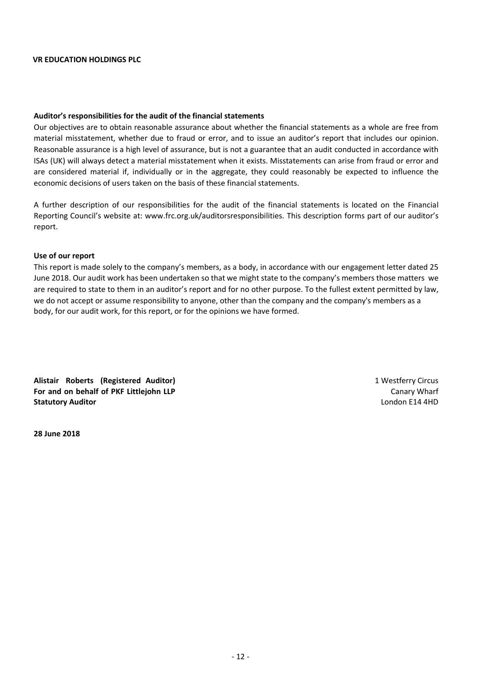#### **Auditor's responsibilities for the audit of the financial statements**

Our objectives are to obtain reasonable assurance about whether the financial statements as a whole are free from material misstatement, whether due to fraud or error, and to issue an auditor's report that includes our opinion. Reasonable assurance is a high level of assurance, but is not a guarantee that an audit conducted in accordance with ISAs (UK) will always detect a material misstatement when it exists. Misstatements can arise from fraud or error and are considered material if, individually or in the aggregate, they could reasonably be expected to influence the economic decisions of users taken on the basis of these financial statements.

A further description of our responsibilities for the audit of the financial statements is located on the Financial Reporting Council's website at: [www.frc.org.uk/auditorsresponsibilities.](http://www.frc.org.uk/auditorsresponsibilities) This description forms part of our auditor's report.

#### **Use of our report**

This report is made solely to the company's members, as a body, in accordance with our engagement letter dated 25 June 2018. Our audit work has been undertaken so that we might state to the company's members those matters we are required to state to them in an auditor's report and for no other purpose. To the fullest extent permitted by law, we do not accept or assume responsibility to anyone, other than the company and the company's members as a body, for our audit work, for this report, or for the opinions we have formed.

**Alistair Roberts (Registered Auditor) For and on behalf of PKF Littlejohn LLP Statutory Auditor** 

1 Westferry Circus Canary Wharf London E14 4HD

**28 June 2018**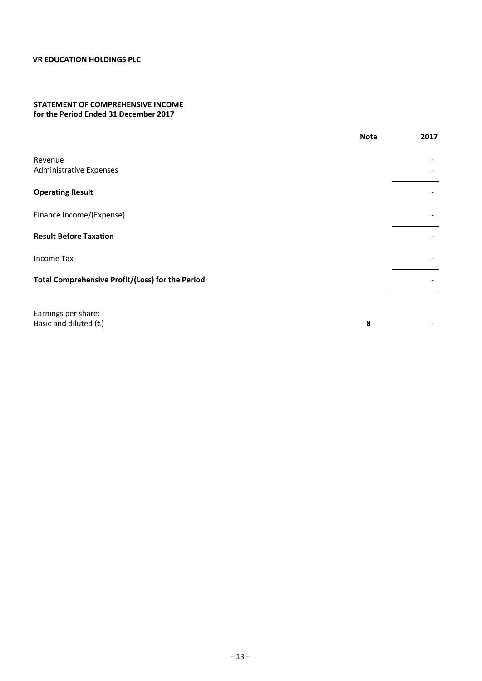### **STATEMENT OF COMPREHENSIVE INCOME for the Period Ended 31 December 2017**

|                                                  | <b>Note</b> | 2017 |
|--------------------------------------------------|-------------|------|
| Revenue                                          |             |      |
| <b>Administrative Expenses</b>                   |             |      |
| <b>Operating Result</b>                          |             |      |
| Finance Income/(Expense)                         |             |      |
| <b>Result Before Taxation</b>                    |             |      |
| Income Tax                                       |             |      |
| Total Comprehensive Profit/(Loss) for the Period |             |      |
|                                                  |             |      |

Earnings per share: Basic and diluted (€) **8** -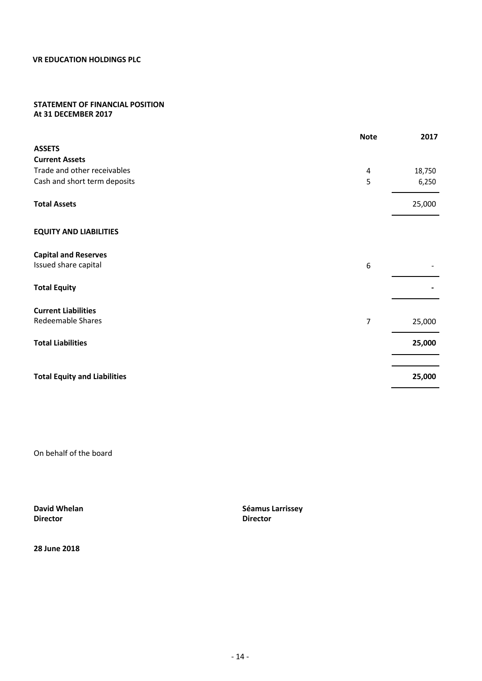### **STATEMENT OF FINANCIAL POSITION At 31 DECEMBER 2017**

|                                     | <b>Note</b> | 2017   |
|-------------------------------------|-------------|--------|
| <b>ASSETS</b>                       |             |        |
| <b>Current Assets</b>               |             |        |
| Trade and other receivables         | 4           | 18,750 |
| Cash and short term deposits        | 5           | 6,250  |
| <b>Total Assets</b>                 |             | 25,000 |
| <b>EQUITY AND LIABILITIES</b>       |             |        |
| <b>Capital and Reserves</b>         |             |        |
| Issued share capital                | 6           |        |
| <b>Total Equity</b>                 |             |        |
| <b>Current Liabilities</b>          |             |        |
| <b>Redeemable Shares</b>            | 7           | 25,000 |
| <b>Total Liabilities</b>            |             | 25,000 |
| <b>Total Equity and Liabilities</b> |             | 25,000 |

On behalf of the board

**David Whelan Director** 

**Séamus Larrissey Director**

**28 June 2018**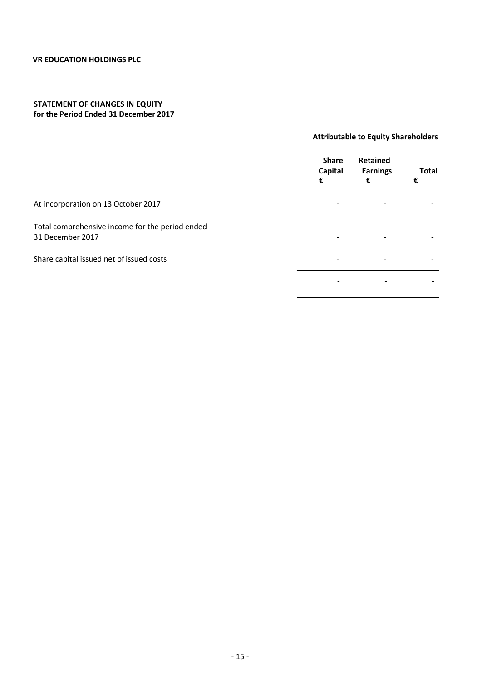# <span id="page-14-0"></span>**STATEMENT OF CHANGES IN EQUITY for the Period Ended 31 December 2017**

# **Attributable to Equity Shareholders**

<u> Andrew Hermann (1986)</u>

|                                                                     | <b>Share</b><br>Capital<br>€ | <b>Retained</b><br><b>Earnings</b><br>€ | <b>Total</b><br>€ |
|---------------------------------------------------------------------|------------------------------|-----------------------------------------|-------------------|
| At incorporation on 13 October 2017                                 |                              |                                         |                   |
| Total comprehensive income for the period ended<br>31 December 2017 |                              |                                         |                   |
| Share capital issued net of issued costs                            |                              |                                         |                   |
|                                                                     |                              |                                         |                   |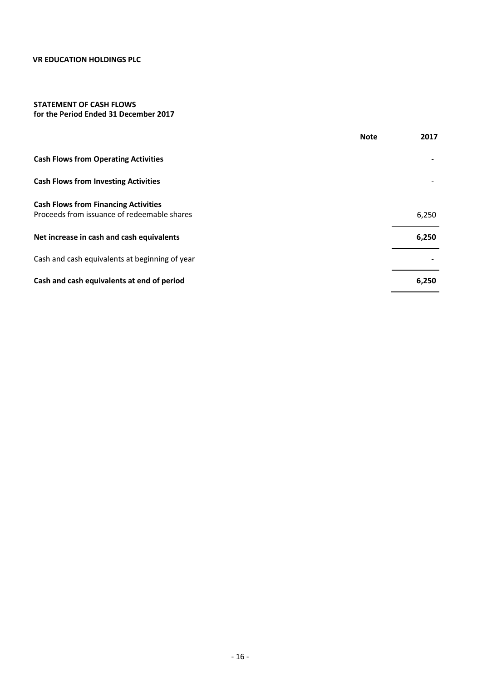### **STATEMENT OF CASH FLOWS for the Period Ended 31 December 2017**

|                                                | <b>Note</b><br>2017 |
|------------------------------------------------|---------------------|
| <b>Cash Flows from Operating Activities</b>    |                     |
| <b>Cash Flows from Investing Activities</b>    |                     |
| <b>Cash Flows from Financing Activities</b>    |                     |
| Proceeds from issuance of redeemable shares    | 6,250               |
| Net increase in cash and cash equivalents      | 6,250               |
| Cash and cash equivalents at beginning of year |                     |
| Cash and cash equivalents at end of period     | 6,250               |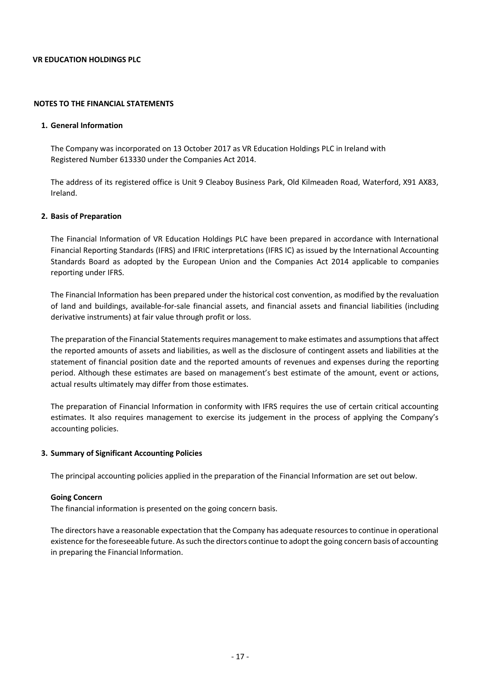### <span id="page-16-0"></span>**NOTES TO THE FINANCIAL STATEMENTS**

#### **1. General Information**

The Company was incorporated on 13 October 2017 as VR Education Holdings PLC in Ireland with Registered Number 613330 under the Companies Act 2014.

The address of its registered office is Unit 9 Cleaboy Business Park, Old Kilmeaden Road, Waterford, X91 AX83, Ireland.

### **2. Basis of Preparation**

The Financial Information of VR Education Holdings PLC have been prepared in accordance with International Financial Reporting Standards (IFRS) and IFRIC interpretations (IFRS IC) as issued by the International Accounting Standards Board as adopted by the European Union and the Companies Act 2014 applicable to companies reporting under IFRS.

The Financial Information has been prepared under the historical cost convention, as modified by the revaluation of land and buildings, available-for-sale financial assets, and financial assets and financial liabilities (including derivative instruments) at fair value through profit or loss.

The preparation of the Financial Statements requires management to make estimates and assumptions that affect the reported amounts of assets and liabilities, as well as the disclosure of contingent assets and liabilities at the statement of financial position date and the reported amounts of revenues and expenses during the reporting period. Although these estimates are based on management's best estimate of the amount, event or actions, actual results ultimately may differ from those estimates.

The preparation of Financial Information in conformity with IFRS requires the use of certain critical accounting estimates. It also requires management to exercise its judgement in the process of applying the Company's accounting policies.

#### **3. Summary of Significant Accounting Policies**

The principal accounting policies applied in the preparation of the Financial Information are set out below.

#### **Going Concern**

The financial information is presented on the going concern basis.

The directors have a reasonable expectation that the Company has adequate resources to continue in operational existence for the foreseeable future. As such the directors continue to adopt the going concern basis of accounting in preparing the Financial Information.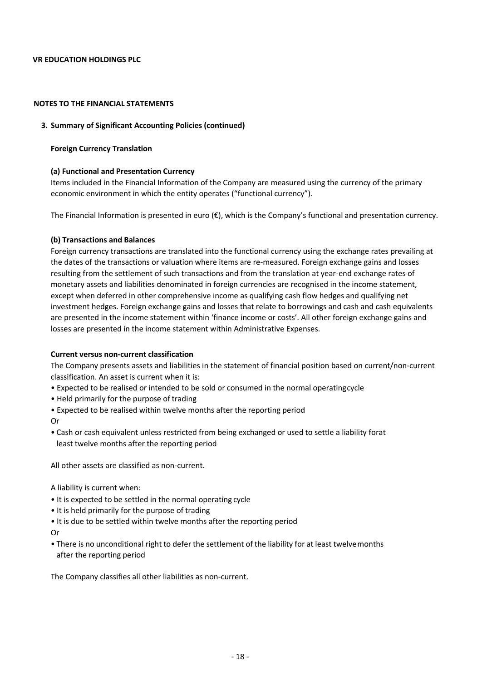### **NOTES TO THE FINANCIAL STATEMENTS**

### **3. Summary of Significant Accounting Policies (continued)**

#### **Foreign Currency Translation**

### **(a) Functional and Presentation Currency**

Items included in the Financial Information of the Company are measured using the currency of the primary economic environment in which the entity operates ("functional currency").

The Financial Information is presented in euro  $(\epsilon)$ , which is the Company's functional and presentation currency.

### **(b) Transactions and Balances**

Foreign currency transactions are translated into the functional currency using the exchange rates prevailing at the dates of the transactions or valuation where items are re-measured. Foreign exchange gains and losses resulting from the settlement of such transactions and from the translation at year-end exchange rates of monetary assets and liabilities denominated in foreign currencies are recognised in the income statement, except when deferred in other comprehensive income as qualifying cash flow hedges and qualifying net investment hedges. Foreign exchange gains and losses that relate to borrowings and cash and cash equivalents are presented in the income statement within 'finance income or costs'. All other foreign exchange gains and losses are presented in the income statement within Administrative Expenses.

#### **Current versus non-current classification**

The Company presents assets and liabilities in the statement of financial position based on current/non-current classification. An asset is current when it is:

- Expected to be realised or intended to be sold or consumed in the normal operatingcycle
- Held primarily for the purpose of trading
- Expected to be realised within twelve months after the reporting period

Or

• Cash or cash equivalent unless restricted from being exchanged or used to settle a liability forat least twelve months after the reporting period

All other assets are classified as non-current.

- A liability is current when:
- It is expected to be settled in the normal operating cycle
- It is held primarily for the purpose of trading
- It is due to be settled within twelve months after the reporting period

Or

• There is no unconditional right to defer the settlement of the liability for at least twelvemonths after the reporting period

The Company classifies all other liabilities as non-current.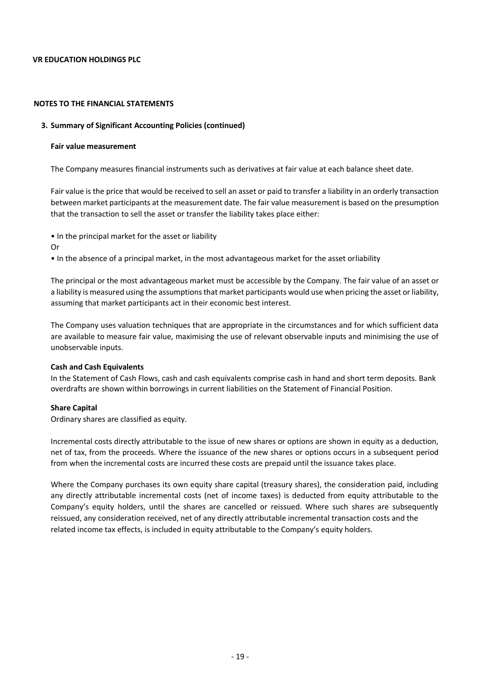### **NOTES TO THE FINANCIAL STATEMENTS**

### **3. Summary of Significant Accounting Policies (continued)**

#### **Fair value measurement**

The Company measures financial instruments such as derivatives at fair value at each balance sheet date.

Fair value is the price that would be received to sell an asset or paid to transfer a liability in an orderly transaction between market participants at the measurement date. The fair value measurement is based on the presumption that the transaction to sell the asset or transfer the liability takes place either:

• In the principal market for the asset or liability

Or

• In the absence of a principal market, in the most advantageous market for the asset orliability

The principal or the most advantageous market must be accessible by the Company. The fair value of an asset or a liability is measured using the assumptions that market participants would use when pricing the asset or liability, assuming that market participants act in their economic best interest.

The Company uses valuation techniques that are appropriate in the circumstances and for which sufficient data are available to measure fair value, maximising the use of relevant observable inputs and minimising the use of unobservable inputs.

#### **Cash and Cash Equivalents**

In the Statement of Cash Flows, cash and cash equivalents comprise cash in hand and short term deposits. Bank overdrafts are shown within borrowings in current liabilities on the Statement of Financial Position.

#### **Share Capital**

Ordinary shares are classified as equity.

Incremental costs directly attributable to the issue of new shares or options are shown in equity as a deduction, net of tax, from the proceeds. Where the issuance of the new shares or options occurs in a subsequent period from when the incremental costs are incurred these costs are prepaid until the issuance takes place.

Where the Company purchases its own equity share capital (treasury shares), the consideration paid, including any directly attributable incremental costs (net of income taxes) is deducted from equity attributable to the Company's equity holders, until the shares are cancelled or reissued. Where such shares are subsequently reissued, any consideration received, net of any directly attributable incremental transaction costs and the related income tax effects, is included in equity attributable to the Company's equity holders.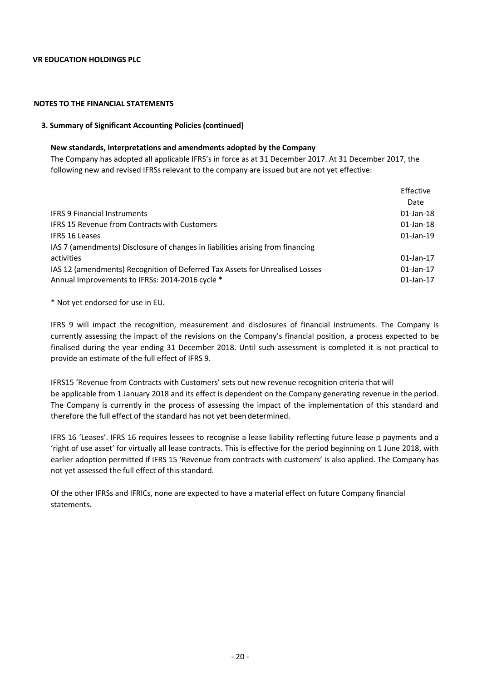### **NOTES TO THE FINANCIAL STATEMENTS**

### **3. Summary of Significant Accounting Policies (continued)**

### **New standards, interpretations and amendments adopted by the Company**

The Company has adopted all applicable IFRS's in force as at 31 December 2017. At 31 December 2017, the following new and revised IFRSs relevant to the company are issued but are not yet effective:

|                                                                                | Effective    |
|--------------------------------------------------------------------------------|--------------|
|                                                                                | Date         |
| <b>IFRS 9 Financial Instruments</b>                                            | $01$ -Jan-18 |
| IFRS 15 Revenue from Contracts with Customers                                  | $01$ -Jan-18 |
| <b>IFRS 16 Leases</b>                                                          | $01$ -Jan-19 |
| IAS 7 (amendments) Disclosure of changes in liabilities arising from financing |              |
| activities                                                                     | $01$ -Jan-17 |
| IAS 12 (amendments) Recognition of Deferred Tax Assets for Unrealised Losses   | $01$ -Jan-17 |
| Annual Improvements to IFRSs: 2014-2016 cycle *                                | $01$ -Jan-17 |

\* Not yet endorsed for use in EU.

IFRS 9 will impact the recognition, measurement and disclosures of financial instruments. The Company is currently assessing the impact of the revisions on the Company's financial position, a process expected to be finalised during the year ending 31 December 2018. Until such assessment is completed it is not practical to provide an estimate of the full effect of IFRS 9.

IFRS15 'Revenue from Contracts with Customers' sets out new revenue recognition criteria that will be applicable from 1 January 2018 and its effect is dependent on the Company generating revenue in the period. The Company is currently in the process of assessing the impact of the implementation of this standard and therefore the full effect of the standard has not yet been determined.

IFRS 16 'Leases'. IFRS 16 requires lessees to recognise a lease liability reflecting future lease p payments and a 'right of use asset' for virtually all lease contracts. This is effective for the period beginning on 1 June 2018, with earlier adoption permitted if IFRS 15 'Revenue from contracts with customers' is also applied. The Company has not yet assessed the full effect of this standard.

Of the other IFRSs and IFRICs, none are expected to have a material effect on future Company financial statements.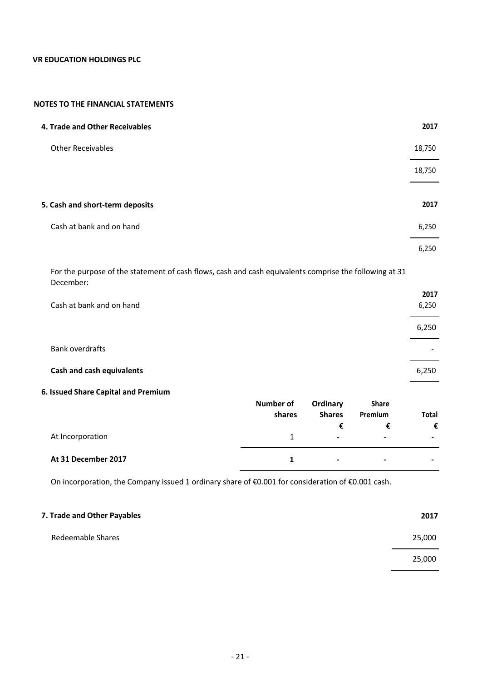# **NOTES TO THE FINANCIAL STATEMENTS**

| 4. Trade and Other Receivables  | 2017   |
|---------------------------------|--------|
| <b>Other Receivables</b>        | 18,750 |
|                                 | 18,750 |
| 5. Cash and short-term deposits | 2017   |
|                                 |        |
| Cash at bank and on hand        | 6,250  |
|                                 | 6,250  |

For the purpose of the statement of cash flows, cash and cash equivalents comprise the following at 31 December:

| Cash at bank and on hand         | 2017<br>6,250 |
|----------------------------------|---------------|
|                                  | 6,250         |
| Bank overdrafts                  | -             |
| <b>Cash and cash equivalents</b> | 6,250         |

# **6. Issued Share Capital and Premium**

|                     | Number of<br>shares | Ordinary<br><b>Shares</b> | <b>Share</b><br><b>Premium</b> | Total                    |
|---------------------|---------------------|---------------------------|--------------------------------|--------------------------|
|                     |                     | €                         |                                | €                        |
| At Incorporation    |                     | $\blacksquare$            | $\blacksquare$                 | $\overline{\phantom{a}}$ |
| At 31 December 2017 | 1                   | ٠                         |                                | $\overline{\phantom{0}}$ |

On incorporation, the Company issued 1 ordinary share of €0.001 for consideration of €0.001 cash.

| 7. Trade and Other Payables | 2017   |
|-----------------------------|--------|
| Redeemable Shares           | 25,000 |
|                             | 25,000 |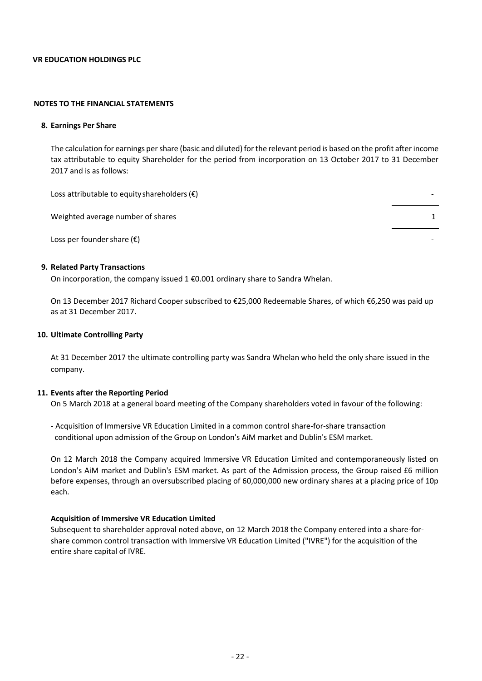### **NOTES TO THE FINANCIAL STATEMENTS**

#### **8. Earnings Per Share**

The calculation for earnings per share (basic and diluted) for the relevant period is based on the profit after income tax attributable to equity Shareholder for the period from incorporation on 13 October 2017 to 31 December 2017 and is as follows:

| Loss attributable to equity shareholders $(\epsilon)$ |  |
|-------------------------------------------------------|--|
| Weighted average number of shares                     |  |
| Loss per founder share $(\epsilon)$                   |  |

#### **9. Related Party Transactions**

On incorporation, the company issued 1 €0.001 ordinary share to Sandra Whelan.

On 13 December 2017 Richard Cooper subscribed to €25,000 Redeemable Shares, of which €6,250 was paid up as at 31 December 2017.

#### **10. Ultimate Controlling Party**

At 31 December 2017 the ultimate controlling party was Sandra Whelan who held the only share issued in the company.

#### **11. Events after the Reporting Period**

On 5 March 2018 at a general board meeting of the Company shareholders voted in favour of the following:

- Acquisition of Immersive VR Education Limited in a common control share-for-share transaction conditional upon admission of the Group on London's AiM market and Dublin's ESM market.

On 12 March 2018 the Company acquired Immersive VR Education Limited and contemporaneously listed on London's AiM market and Dublin's ESM market. As part of the Admission process, the Group raised £6 million before expenses, through an oversubscribed placing of 60,000,000 new ordinary shares at a placing price of 10p each.

### **Acquisition of Immersive VR Education Limited**

Subsequent to shareholder approval noted above, on 12 March 2018 the Company entered into a share-forshare common control transaction with Immersive VR Education Limited ("IVRE") for the acquisition of the entire share capital of IVRE.